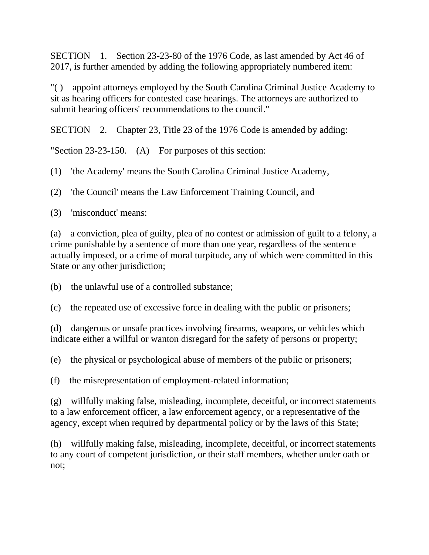SECTION 1. Section 23-23-80 of the 1976 Code, as last amended by Act 46 of 2017, is further amended by adding the following appropriately numbered item:

"( ) appoint attorneys employed by the South Carolina Criminal Justice Academy to sit as hearing officers for contested case hearings. The attorneys are authorized to submit hearing officers' recommendations to the council."

SECTION 2. Chapter 23, Title 23 of the 1976 Code is amended by adding:

"Section 23-23-150. (A) For purposes of this section:

(1) 'the Academy' means the South Carolina Criminal Justice Academy,

(2) 'the Council' means the Law Enforcement Training Council, and

(3) 'misconduct' means:

(a) a conviction, plea of guilty, plea of no contest or admission of guilt to a felony, a crime punishable by a sentence of more than one year, regardless of the sentence actually imposed, or a crime of moral turpitude, any of which were committed in this State or any other jurisdiction;

(b) the unlawful use of a controlled substance;

(c) the repeated use of excessive force in dealing with the public or prisoners;

(d) dangerous or unsafe practices involving firearms, weapons, or vehicles which indicate either a willful or wanton disregard for the safety of persons or property;

(e) the physical or psychological abuse of members of the public or prisoners;

(f) the misrepresentation of employment-related information;

(g) willfully making false, misleading, incomplete, deceitful, or incorrect statements to a law enforcement officer, a law enforcement agency, or a representative of the agency, except when required by departmental policy or by the laws of this State;

(h) willfully making false, misleading, incomplete, deceitful, or incorrect statements to any court of competent jurisdiction, or their staff members, whether under oath or not;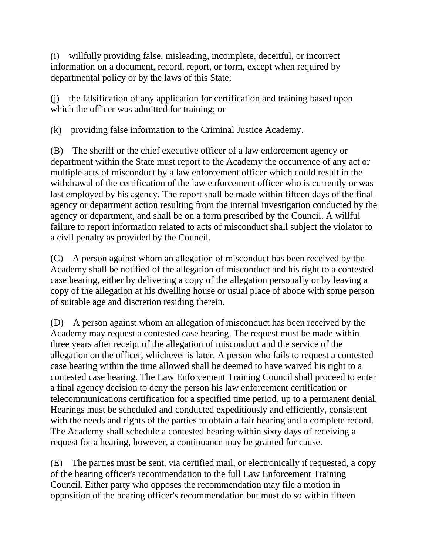(i) willfully providing false, misleading, incomplete, deceitful, or incorrect information on a document, record, report, or form, except when required by departmental policy or by the laws of this State;

(j) the falsification of any application for certification and training based upon which the officer was admitted for training; or

(k) providing false information to the Criminal Justice Academy.

(B) The sheriff or the chief executive officer of a law enforcement agency or department within the State must report to the Academy the occurrence of any act or multiple acts of misconduct by a law enforcement officer which could result in the withdrawal of the certification of the law enforcement officer who is currently or was last employed by his agency. The report shall be made within fifteen days of the final agency or department action resulting from the internal investigation conducted by the agency or department, and shall be on a form prescribed by the Council. A willful failure to report information related to acts of misconduct shall subject the violator to a civil penalty as provided by the Council.

(C) A person against whom an allegation of misconduct has been received by the Academy shall be notified of the allegation of misconduct and his right to a contested case hearing, either by delivering a copy of the allegation personally or by leaving a copy of the allegation at his dwelling house or usual place of abode with some person of suitable age and discretion residing therein.

(D) A person against whom an allegation of misconduct has been received by the Academy may request a contested case hearing. The request must be made within three years after receipt of the allegation of misconduct and the service of the allegation on the officer, whichever is later. A person who fails to request a contested case hearing within the time allowed shall be deemed to have waived his right to a contested case hearing. The Law Enforcement Training Council shall proceed to enter a final agency decision to deny the person his law enforcement certification or telecommunications certification for a specified time period, up to a permanent denial. Hearings must be scheduled and conducted expeditiously and efficiently, consistent with the needs and rights of the parties to obtain a fair hearing and a complete record. The Academy shall schedule a contested hearing within sixty days of receiving a request for a hearing, however, a continuance may be granted for cause.

(E) The parties must be sent, via certified mail, or electronically if requested, a copy of the hearing officer's recommendation to the full Law Enforcement Training Council. Either party who opposes the recommendation may file a motion in opposition of the hearing officer's recommendation but must do so within fifteen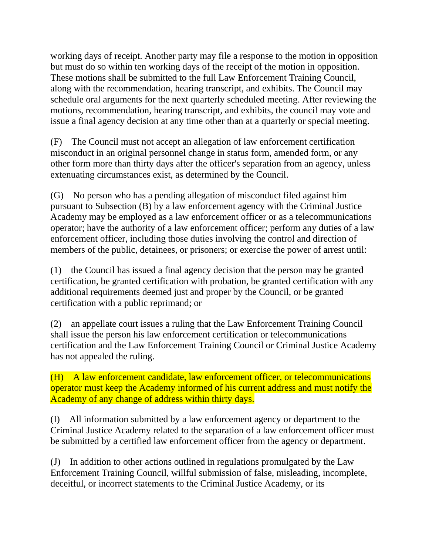working days of receipt. Another party may file a response to the motion in opposition but must do so within ten working days of the receipt of the motion in opposition. These motions shall be submitted to the full Law Enforcement Training Council, along with the recommendation, hearing transcript, and exhibits. The Council may schedule oral arguments for the next quarterly scheduled meeting. After reviewing the motions, recommendation, hearing transcript, and exhibits, the council may vote and issue a final agency decision at any time other than at a quarterly or special meeting.

(F) The Council must not accept an allegation of law enforcement certification misconduct in an original personnel change in status form, amended form, or any other form more than thirty days after the officer's separation from an agency, unless extenuating circumstances exist, as determined by the Council.

(G) No person who has a pending allegation of misconduct filed against him pursuant to Subsection (B) by a law enforcement agency with the Criminal Justice Academy may be employed as a law enforcement officer or as a telecommunications operator; have the authority of a law enforcement officer; perform any duties of a law enforcement officer, including those duties involving the control and direction of members of the public, detainees, or prisoners; or exercise the power of arrest until:

(1) the Council has issued a final agency decision that the person may be granted certification, be granted certification with probation, be granted certification with any additional requirements deemed just and proper by the Council, or be granted certification with a public reprimand; or

(2) an appellate court issues a ruling that the Law Enforcement Training Council shall issue the person his law enforcement certification or telecommunications certification and the Law Enforcement Training Council or Criminal Justice Academy has not appealed the ruling.

(H) A law enforcement candidate, law enforcement officer, or telecommunications operator must keep the Academy informed of his current address and must notify the Academy of any change of address within thirty days.

(I) All information submitted by a law enforcement agency or department to the Criminal Justice Academy related to the separation of a law enforcement officer must be submitted by a certified law enforcement officer from the agency or department.

(J) In addition to other actions outlined in regulations promulgated by the Law Enforcement Training Council, willful submission of false, misleading, incomplete, deceitful, or incorrect statements to the Criminal Justice Academy, or its